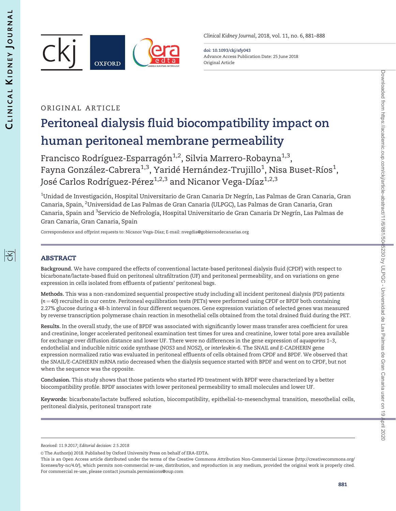

Clinical Kidney Journal, 2018, vol. 11, no. 6, 881–888

doi: 10.1093/ckj/sfy043 Advance Access Publication Date: 25 June 2018 Original Article

## ORIGINAL ARTICLE

# Peritoneal dialysis fluid biocompatibility impact on human peritoneal membrane permeability

Francisco Rodríguez-Esparragón<sup>1,2</sup>, Silvia Marrero-Robayna<sup>1,3</sup>, Fayna González-Cabrera $^{\rm 1,3}$ , Yaridé Hernández-Trujillo $^{\rm 1}$ , Nisa Buset-Ríos $^{\rm 1}$ , José Carlos Rodríguez-Pérez<sup>1,2,3</sup> and Nicanor Vega-Díaz<sup>1,2,3</sup>

 $^{\rm 1}$ Unidad de Investigación, Hospital Universitario de Gran Canaria Dr Negrín, Las Palmas de Gran Canaria, Gran Canaria, Spain, <sup>2</sup>Universidad de Las Palmas de Gran Canaria (ULPGC), Las Palmas de Gran Canaria, Gran Canaria, Spain and <sup>3</sup>Servicio de Nefrología, Hospital Universitario de Gran Canaria Dr Negrín, Las Palmas de Gran Canaria, Gran Canaria, Spain

Correspondence and offprint requests to: Nicanor Vega-Dı´az; E-mail: nvegdia@gobiernodecanarias.org

## ABSTRACT

Background. We have compared the effects of conventional lactate-based peritoneal dialysis fluid (CPDF) with respect to bicarbonate/lactate-based fluid on peritoneal ultrafiltration (UF) and peritoneal permeability, and on variations on gene expression in cells isolated from effluents of patients' peritoneal bags.

Methods. This was a non-randomized sequential prospective study including all incident peritoneal dialysis (PD) patients  $(n = 40)$  recruited in our centre. Peritoneal equilibration tests (PETs) were performed using CPDF or BPDF both containing 2.27% glucose during a 48-h interval in four different sequences. Gene expression variation of selected genes was measured by reverse transcription polymerase chain reaction in mesothelial cells obtained from the total drained fluid during the PET.

Results. In the overall study, the use of BPDF was associated with significantly lower mass transfer area coefficient for urea and creatinine, longer accelerated peritoneal examination test times for urea and creatinine, lower total pore area available for exchange over diffusion distance and lower UF. There were no differences in the gene expression of aquaporins 1–3, endothelial and inducible nitric oxide synthase (NOS3 and NOS2), or interleukin-6. The SNAIL and E-CADHERIN gene expression normalized ratio was evaluated in peritoneal effluents of cells obtained from CPDF and BPDF. We observed that the SNAIL/E-CADHERIN mRNA ratio decreased when the dialysis sequence started with BPDF and went on to CPDF, but not when the sequence was the opposite.

Conclusion. This study shows that those patients who started PD treatment with BPDF were characterized by a better biocompatibility profile. BPDF associates with lower peritoneal permeability to small molecules and lower UF.

Keywords: bicarbonate/lactate buffered solution, biocompatibility, epithelial-to-mesenchymal transition, mesothelial cells, peritoneal dialysis, peritoneal transport rate

Received: 11.9.2017; Editorial decision: 2.5.2018

<sup>©</sup> The Author(s) 2018. Published by Oxford University Press on behalf of ERA-EDTA.

This is an Open Access article distributed under the terms of the Creative Commons Attribution Non-Commercial License (http://creativecommons.org/ licenses/by-nc/4.0/), which permits non-commercial re-use, distribution, and reproduction in any medium, provided the original work is properly cited. For commercial re-use, please contact journals.permissions@oup.com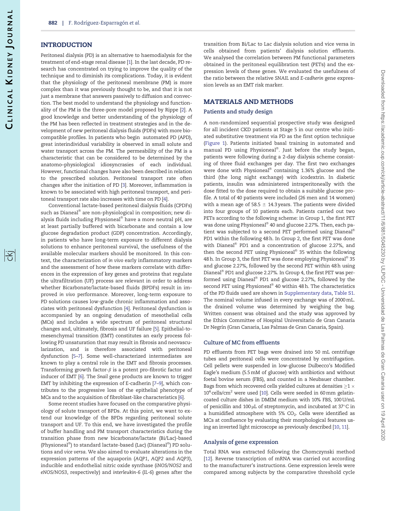#### <span id="page-1-0"></span>INTRODUCTION

Peritoneal dialysis (PD) is an alternative to haemodialysis for the treatment of end-stage renal disease [\[1](#page-7-0)]. In the last decade, PD research has concentrated on trying to improve the quality of the technique and to diminish its complications. Today, it is evident that the physiology of the peritoneal membrane (PM) is more complex than it was previously thought to be, and that it is not just a membrane that answers passively to diffusion and convection. The best model to understand the physiology and functionality of the PM is the three-pore model proposed by Rippe [[2\]](#page-7-0). A good knowledge and better understanding of the physiology of the PM has been reflected in treatment strategies and in the development of new peritoneal dialysis fluids (PDFs) with more biocompatible profiles. In patients who begin automated PD (APD), great interindividual variability is observed in small solute and water transport across the PM. The permeability of the PM is a characteristic that can be considered to be determined by the anatomo–physiological idiosyncrasies of each individual. However, functional changes have also been described in relation to the prescribed solution. Peritoneal transport rate often changes after the initiation of PD [\[3](#page-7-0)]. Moreover, inflammation is known to be associated with high peritoneal transport, and peritoneal transport rate also increases with time on PD [[4\]](#page-7-0).

Conventional lactate-based peritoneal dialysis fluids (CPDFs) such as Dianeal $^\circledast$  are non-physiological in composition; new dialysis fluids including Physioneal $^\circledast$  have a more neutral pH, are at least partially buffered with bicarbonate and contain a low glucose degradation product (GDP) concentration. Accordingly, in patients who have long-term exposure to different dialysis solutions to enhance peritoneal survival, the usefulness of the available molecular markers should be monitored. In this context, the characterization of in vivo early inflammatory markers and the assessment of how these markers correlate with differences in the expression of key genes and proteins that regulate the ultrafiltration (UF) process are relevant in order to address whether Bicarbonate/lactate-based fluids (BPDFs) result in improved in vivo performance. Moreover, long-term exposure to PD solutions causes low-grade chronic inflammation and associates with peritoneal dysfunction [\[4\]](#page-7-0). Peritoneal dysfunction is accompanied by an ongoing denudation of mesothelial cells (MCs) and includes a wide spectrum of peritoneal structural changes and, ultimately, fibrosis and UF failure [\[5](#page-7-0)]. Epithelial-tomesenchymal transition (EMT) constitutes an early process following PD unsaturation that may result in fibrosis and neovascularization, and is therefore associated with peritoneal dysfunction [\[5–7](#page-7-0)]. Some well-characterized intermediates are known to play a central role in the EMT and fibrosis processes. Transforming growth factor- $\beta$  is a potent pro-fibrotic factor and inducer of EMT [\[6](#page-7-0)]. The Snail gene products are known to trigger EMT by inhibiting the expression of E-cadherin [\[7](#page-7-0)–[9\]](#page-7-0), which contributes to the progressive loss of the epithelial phenotype of MCs and to the acquisition of fibroblast-like characteristics [\[6](#page-7-0)].

Some recent studies have focused on the comparative physiology of solute transport of BPDs. At this point, we want to extend our knowledge of the BPDs regarding peritoneal solute transport and UF. To this end, we have investigated the profile of buffer handling and PM transport characteristics during the transition phase from new bicarbonate/lactate (Bi/Lac)-based (Physioneal®) to standard lactate-based (Lac) (Dianeal®) PD solutions and vice versa. We also aimed to evaluate alterations in the expression patterns of the aquaporin (AQP1, AQP2 and AQP3), inducible and endothelial nitric oxide synthase (iNOS/NOS2 and eNOS/NOS3, respectively) and interleukin-6 (IL-6) genes after the

transition from Bi/Lac to Lac dialysis solution and vice versa in cells obtained from patients' dialysis solution effluents. We analysed the correlation between PM functional parameters obtained in the peritoneal equilibration test (PETs) and the expression levels of these genes. We evaluated the usefulness of the ratio between the relative SNAIL and E-cadherin gene expression levels as an EMT risk marker.

## MATERIALS AND METHODS

#### Patients and study design

A non-randomized sequential prospective study was designed for all incident CKD patients at Stage 5 in our centre who initiated substitutive treatment via PD as the first option technique [\(Figure 1](#page-2-0)). Patients initiated basal training in automated and manual PD using Physioneal®. Just before the study began, patients were following during a 2-day dialysis scheme consisting of three fluid exchanges per day. The first two exchanges were done with Physioneal® containing  $1.36\%$  glucose and the third (the long night exchange) with icodextrin. In diabetic patients, insulin was administered intraperitoneally with the dose fitted to the dose required to obtain a suitable glucose profile. A total of 40 patients were included (26 men and 14 women) with a mean age of 58.5  $\pm$  14.3 years. The patients were divided into four groups of 10 patients each. Patients carried out two PETs according to the following scheme: in Group 1, the first PET was done using Physioneal® 40 and glucose 2.27%. Then, each patient was subjected to a second PET performed using Dianeal® PD1 within the following 48 h. In Group 2, the first PET was done with Dianeal® PD1 and a concentration of glucose 2.27%, and then the second PET using Physioneal<sup>®</sup> 35 within the following 48 h. In Group 3, the first PET was done employing Physioneal® 35 and glucose 2.27%, followed by the second PET within 48 h using Dianeal® PD1 and glucose 2.27%. In Group 4, the first PET was performed using Dianeal® PD1 and glucose 2.27%, followed by the second PET using Physioneal® 40 within 48 h. The characteristics of the PD fluids used are shown in [Supplementary data](https://academic.oup.com/ckj/article-lookup/doi/10.1093/ckj/sfy043#supplementary-data), [Table S1](https://academic.oup.com/ckj/article-lookup/doi/10.1093/ckj/sfy043#supplementary-data). The nominal volume infused in every exchange was of 2000 mL. the drained volume was determined by weighing the bag. Written consent was obtained and the study was approved by the Ethics Committee of Hospital Universitario de Gran Canaria Dr Negrín (Gran Canaria, Las Palmas de Gran Canaria, Spain).

#### Culture of MC from effluents

PD effluents from PET bags were drained into 50 mL centrifuge tubes and peritoneal cells were concentrated by centrifugation. Cell pellets were suspended in low-glucose Dulbecco's Modified Eagle's medium (5.5 mM of glucose) with antibiotics and without foetal bovine serum (FBS), and counted in a Neubauer chamber. Bags from which recovered cells yielded cultures at densities  ${\geq}1$   ${\times}$  $10<sup>4</sup>$  cells/cm<sup>2</sup> were used [\[10\]](#page-7-0). Cells were seeded in 60 mm gelatincoated culture dishes in DMEM medium with 10% FBS, 100 U/mL of penicillin and 100  $\mu$ L of streptomycin, and incubated at 37 $\degree$ C in a humidified atmosphere with 5%  $CO<sub>2</sub>$ . Cells were identified as MCs at confluence by evaluating their morphological features using an inverted light microscope as previously described [[10,](#page-7-0) [11\]](#page-7-0).

#### Analysis of gene expression

Total RNA was extracted following the Chomczynski method [\[12\]](#page-7-0). Reverse transcription of mRNA was carried out according to the manufacturer's instructions. Gene expression levels were compared among subjects by the comparative threshold cycle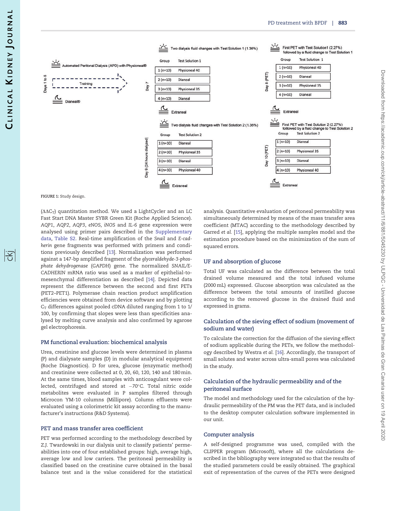<span id="page-2-0"></span>

FIGURE 1: Study design.

 $(\Delta\Delta C_T)$  quantitation method. We used a LightCycler and an LC Fast Start DNA Master SYBR Green Kit (Roche Applied Science). AQP1, AQP2, AQP3, eNOS, iNOS and IL-6 gene expression were analysed using primer pairs described in the [Supplementary](https://academic.oup.com/ckj/article-lookup/doi/10.1093/ckj/sfy043#supplementary-data) [data](https://academic.oup.com/ckj/article-lookup/doi/10.1093/ckj/sfy043#supplementary-data), [Table S2.](https://academic.oup.com/ckj/article-lookup/doi/10.1093/ckj/sfy043#supplementary-data) Real-time amplification of the Snail and E-cadherin gene fragments was performed with primers and conditions previously described [[13](#page-7-0)]. Normalization was performed against a 147-bp amplified fragment of the glyceraldehyde-3-phosphate dehydrogenase (GAPDH) gene. The normalized SNAIL/E-CADHERIN mRNA ratio was used as a marker of epithelial-tomesenchymal differentiation as described [\[14\]](#page-7-0). Depicted data represent the difference between the second and first PETs (PET2–PET1). Polymerase chain reaction product amplification efficiencies were obtained from device software and by plotting  $C_T$  differences against pooled cDNA diluted ranging from 1 to 1/ 100, by confirming that slopes were less than specificities analysed by melting curve analysis and also confirmed by agarose gel electrophoresis.

#### PM functional evaluation: biochemical analysis

Urea, creatinine and glucose levels were determined in plasma (P) and dialysate samples (D) in modular analytical equipment (Roche Diagnostics). D for urea, glucose (enzymatic method) and creatinine were collected at 0, 20, 60, 120, 140 and 180 min. At the same times, blood samples with anticoagulant were collected, centrifuged and stored at  $-70^{\circ}$ C. Total nitric oxide metabolites were evaluated in P samples filtered through Microcon YM-10 columns (Millipore). Column effluents were evaluated using a colorimetric kit assay according to the manufacturer's instructions (R&D Systems).

#### PET and mass transfer area coefficient

PET was performed according to the methodology described by Z.J. Twardowski in our dialysis unit to classify patients' permeabilities into one of four established groups: high, average high, average low and low carriers. The peritoneal permeability is classified based on the creatinine curve obtained in the basal balance test and is the value considered for the statistical

analysis. Quantitative evaluation of peritoneal permeability was simultaneously determined by means of the mass transfer area coefficient (MTAC) according to the methodology described by Garred et al. [\[15](#page-7-0)], applying the multiple samples model and the estimation procedure based on the minimization of the sum of squared errors.

#### UF and absorption of glucose

Total UF was calculated as the difference between the total drained volume measured and the total infused volume (2000 mL) expressed. Glucose absorption was calculated as the difference between the total amounts of instilled glucose according to the removed glucose in the drained fluid and expressed in grams.

#### Calculation of the sieving effect of sodium (movement of sodium and water)

To calculate the correction for the diffusion of the sieving effect of sodium applicable during the PETs, we follow the methodology described by Westra et al. [\[16\]](#page-7-0). Accordingly, the transport of small solutes and water across ultra-small pores was calculated in the study.

## Calculation of the hydraulic permeability and of the peritoneal surface

The model and methodology used for the calculation of the hydraulic permeability of the PM was the PET data, and is included to the desktop computer calculation software implemented in our unit.

#### Computer analysis

A self-designed programme was used, compiled with the CLIPPER program (Microsoft), where all the calculations described in the bibliography were integrated so that the results of the studied parameters could be easily obtained. The graphical exit of representation of the curves of the PETs were designed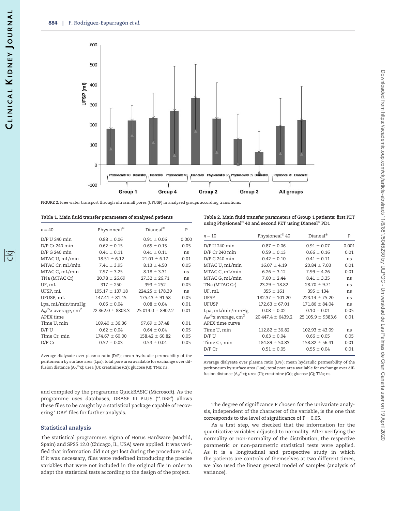<span id="page-3-0"></span>

FIGURE 2: Free water transport through ultrasmall pores (UFUSP) in analysed groups according transitions.

| Table 1. Main fluid transfer parameters of analysed patients |  |  |  |
|--------------------------------------------------------------|--|--|--|
|--------------------------------------------------------------|--|--|--|

| $n = 40$                                   | Physioneal <sup>®</sup> | $Dian$ ea $l^{\circledR}$ | P     |
|--------------------------------------------|-------------------------|---------------------------|-------|
|                                            |                         |                           |       |
| D/P U 240 min                              | $0.88 \pm 0.06$         | $0.91 \pm 0.06$           | 0.000 |
| D/P Cr 240 min                             | $0.62 \pm 0.15$         | $0.65 \pm 0.15$           | 0.05  |
| D/P G 240 min                              | $0.41 \pm 0.11$         | $0.41 \pm 0.11$           | ns    |
| MTAC U, mL/min                             | $18.51 \pm 6.12$        | $21.01 \pm 6.17$          | 0.01  |
| MTAC Cr, mL/min                            | $7.41 \pm 3.95$         | $8.13 \pm 4.50$           | 0.05  |
| MTAC G, mL/min                             | $7.97 \pm 3.25$         | $8.18 \pm 3.31$           | ns    |
| TNa (MTAC Cr)                              | $20.78 \pm 26.69$       | $27.32 \pm 26.71$         | ns    |
| UF, mL                                     | $317 \pm 250$           | $393 \pm 252$             | 0.05  |
| UFSP, mL                                   | $195.17 \pm 137.18$     | $224.25 \pm 178.39$       | ns    |
| UFUSP, mL                                  | $147.41 \pm 81.15$      | $175.43 \pm 91.58$        | 0.05  |
| Lpa, mL/min/mmHg                           | $0.06 \pm 0.04$         | $0.08 \pm 0.04$           | 0.01  |
| $A_0/^{\Delta}$ x average, cm <sup>2</sup> | $22862.0 \pm 8803.3$    | $25014.0 \pm 8902.2$      | 0.01  |
| APEX time                                  |                         |                           |       |
| Time U, min                                | $109.40 \pm 36.36$      | $97.69 \pm 37.48$         | 0.01  |
| $D/P$ U                                    | $0.62 \pm 0.04$         | $0.64 \pm 0.04$           | 0.05  |
| Time Cr, min                               | $174.67 \pm 60.00$      | $158.42 \pm 60.82$        | 0.05  |
| $D/P$ $Cr$                                 | $0.52 \pm 0.03$         | $0.53 \pm 0.04$           | 0.05  |
|                                            |                         |                           |       |

Average dialysate over plasma ratio (D/P); mean hydraulic permeability of the peritoneum by surface area (Lpa); total pore area available for exchange over diffusion distance (A $_0$ / $\Delta$ x); urea (U); creatinine (Cr); glucose (G); TNa; ns.

and compiled by the programme QuickBASIC (Microsoft). As the programme uses databases, DBASE III PLUS ('\*.DBF') allows these files to be caught by a statistical package capable of recovering '.DBF' files for further analysis.

#### Statistical analysis

The statistical programmes Sigma of Horus Hardware (Madrid, Spain) and SPSS 12.0 (Chicago, IL, USA) were applied. It was verified that information did not get lost during the procedure and, if it was necessary, files were redefined introducing the precise variables that were not included in the original file in order to adapt the statistical tests according to the design of the project.

Table 2. Main fluid transfer parameters of Group 1 patients: first PET using Physioneal® 40 and second PET using Dianeal® PD1

| $n = 10$                                   | Physioneal <sup>®</sup> 40 | Dianeal <sup>®</sup> | P     |
|--------------------------------------------|----------------------------|----------------------|-------|
| D/P U 240 min                              | $0.87 \pm 0.06$            | $0.91 \pm 0.07$      | 0.001 |
| D/P Cr 240 min                             | $0.59 \pm 0.13$            | $0.66 \pm 0.16$      | 0.01  |
| D/P G 240 min                              | $0.42 \pm 0.10$            | $0.41 \pm 0.11$      | ns    |
| MTAC U, mL/min                             | $16.07 \pm 4.19$           | $20.84 \pm 7.03$     | 0.01  |
| MTAC C, mL/min                             | $6.26 \pm 3.12$            | $7.99 \pm 4.26$      | 0.01  |
| MTAC G, mL/min                             | $7.60 \pm 2.44$            | $8.41 \pm 3.35$      | ns    |
| TNa (MTAC Cr)                              | $23.29 \pm 18.82$          | $28.70 \pm 9.71$     | ns    |
| UF, mL                                     | $355 \pm 161$              | $395 \pm 134$        | ns    |
| <b>UFSP</b>                                | $182.37 \pm 101.20$        | $223.14 \pm 75.20$   | ns    |
| UFUSP                                      | $172.63 \pm 67.01$         | $171.86 \pm 84.04$   | ns    |
| Lpa, mL/min/mmHg                           | $0.08 \pm 0.02$            | $0.10 \pm 0.01$      | 0.05  |
| $A_0/^{\Delta}$ x average, cm <sup>2</sup> | $20447.4 \pm 6439.2$       | $25105.9 \pm 9383.6$ | 0.01  |
| APEX time curve                            |                            |                      |       |
| Time U, min                                | $112.82 \pm 36.82$         | $102.93 \pm 43.09$   | ns    |
| $D/P$ U                                    | $0.63 \pm 0.04$            | $0.66 \pm 0.05$      | 0.05  |
| Time Cr, min                               | $184.89 \pm 50.83$         | $158.82 \pm 56.41$   | 0.01  |
| $D/P$ $Cr$                                 | $0.51 \pm 0.05$            | $0.55 \pm 0.04$      | 0.01  |
|                                            |                            |                      |       |

Average dialysate over plasma ratio (D/P); mean hydraulic permeability of the peritoneum by surface area (Lpa); total pore area available for exchange over diffusion distance  $(A_0/Ax)$ ; urea (U); creatinine (Cr); glucose (G); TNa; ns.

The degree of significance P chosen for the univariate analysis, independent of the character of the variable, is the one that corresponds to the level of significance of  $P = 0.05$ .

As a first step, we checked that the information for the quantitative variables adjusted to normality. After verifying the normality or non-normality of the distribution, the respective parametric or non-parametric statistical tests were applied. As it is a longitudinal and prospective study in which the patients are controls of themselves at two different times, we also used the linear general model of samples (analysis of variance).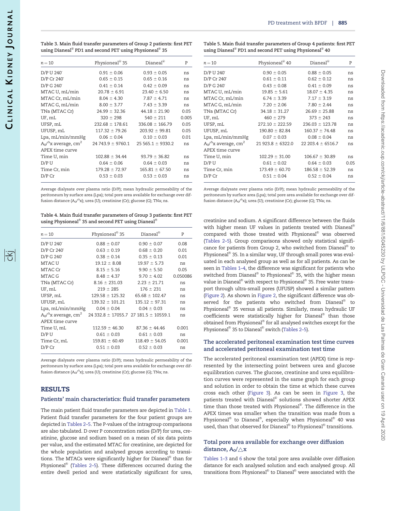$\mathbf{r}$ 

| $n = 10$                                   | Physioneal <sup>®</sup> 35 | $Dianeal^®$          | P     | $n = 10$                                   | Physioneal <sup>®</sup> 40 | Dianeal <sup>®</sup> |
|--------------------------------------------|----------------------------|----------------------|-------|--------------------------------------------|----------------------------|----------------------|
| D/P U 240                                  | $0.91 \pm 0.06$            | $0.93 \pm 0.05$      | ns    | D/P U 240                                  | $0.90 \pm 0.05$            | $0.88 \pm 0.0$       |
| D/P Cr 240                                 | $0.65 \pm 0.15$            | $0.65 \pm 0.16$      | ns    | D/P Cr 240                                 | $0.61 \pm 0.11$            | $0.62 \pm 0.1$       |
| D/P G 240                                  | $0.41 \pm 0.14$            | $0.42 \pm 0.09$      | ns    | D/P G 240                                  | $0.43 \pm 0.08$            | $0.41 \pm 0.0$       |
| MTAC U, mL/min                             | $20.78 \pm 6.91$           | $23.40 \pm 6.50$     | ns    | MTAC U, mL/min                             | $19.85 \pm 5.61$           | $18.07 \pm 4.3$      |
| MTAC Cr, mL/min                            | $8.04 \pm 4.30$            | $7.87 \pm 4.71$      | ns    | MTAC Cr, mL/min                            | $6.74 \pm 3.39$            | $7.17 \pm 3.1$       |
| MTAC G, mL/min                             | $8.00 \pm 3.77$            | $7.43 \pm 3.39$      | ns    | MTAC G, mL/min                             | $7.20 \pm 2.06$            | $7.80 \pm 2.4$       |
| TNa (MTAC Cr)                              | $24.99 \pm 32.36$          | $44.18 \pm 21.90$    | 0.05  | TNa (MTAC Cr)                              | $34.18 \pm 31.27$          | $26.69 \pm 25.$      |
| UF, mL                                     | $320 \pm 298$              | $540 \pm 211$        | 0.005 | UF, mL                                     | $460 \pm 279$              | $373 \pm 243$        |
| UFSP, mL                                   | $232.68 \pm 178.61$        | $336.08 \pm 166.79$  | 0.05  | UFSP, mL                                   | $272.10 \pm 222.59$        | $236.03 \pm 123$     |
| UFUSP, mL                                  | $117.32 \pm 79.26$         | $203.92 \pm 99.81$   | 0.05  | UFUSP, mL                                  | $190.80 \pm 82.84$         | $160.37 \pm 74$      |
| Lpa, mL/min/mmHg                           | $0.06 \pm 0.04$            | $0.10 \pm 0.03$      | 0.01  | Lpa, mL/min/mmHg                           | $0.07 \pm 0.03$            | $0.08 \pm 0.0$       |
| $A_0/^{\Delta}$ x average, cm <sup>2</sup> | $24743.9 \pm 9760.1$       | $25565.1 \pm 9330.2$ | ns    | $A_0/^{\Delta}$ x average, cm <sup>2</sup> | $21923.8 \pm 6322.0$       | $22203.4 \pm 65$     |
| APEX time curve                            |                            |                      |       | APEX time curve                            |                            |                      |
| Time U, min                                | $102.88 \pm 34.44$         | $93.79 \pm 36.82$    | ns    | Time U, min                                | $102.29 \pm 31.00$         | $106.67 \pm 30$      |
| D/P U                                      | $0.64 \pm 0.06$            | $0.64 \pm 0.03$      | ns    | D/P U                                      | $0.61 \pm 0.02$            | $0.64 \pm 0.0$       |
| Time Cr, min                               | $179.28 \pm 72.97$         | $165.81 \pm 67.50$   | ns    | Time Cr, min                               | $173.49 \pm 60.70$         | $186.58 \pm 52$      |
| $D/P$ $Cr$                                 | $0.53 \pm 0.03$            | $0.53 \pm 0.03$      | ns    | $D/P$ Cr                                   | $0.51 \pm 0.04$            | $0.52 \pm 0.0$       |

Table 3. Main fluid transfer parameters of Group 2 patients: first PET using Dianeal $^\circledR$  PD1 and second PET using Physioneal $^\circledR$  35

Average dialysate over plasma ratio (D/P); mean hydraulic permeability of the peritoneum by surface area (Lpa); total pore area available for exchange over diffusion distance (A $_0$ / $\Delta$ x); urea (U); creatinine (Cr); glucose (G); TNa; ns.

Table 4. Main fluid transfer parameters of Group 3 patients: first PET using Physioneal® 35 and second PET using Dianeal®

| $n = 10$                                                          | Physioneal <sup>®</sup> 35 | $Dianeal^{\circledR}$                        | P        |
|-------------------------------------------------------------------|----------------------------|----------------------------------------------|----------|
| D/P U 240                                                         | $0.88 \pm 0.07$            | $0.90 \pm 0.07$                              | 0.08     |
| D/P Cr 240                                                        | $0.63 \pm 0.19$            | $0.68 \pm 0.20$                              | 0.01     |
| D/P G 240                                                         | $0.38 \pm 0.14$            | $0.35 \pm 0.13$                              | 0.01     |
| MTAC U                                                            | $19.12 \pm 8.08$           | $19.97 \pm 5.73$                             | ns       |
| MTAC Cr                                                           | $8.15 \pm 5.16$            | $9.90 \pm 5.50$                              | 0.05     |
| MTAC G                                                            | $8.48 \pm 4.37$            | $9.70 \pm 4.02$                              | 0.050086 |
| TNa (MTAC Cr)                                                     | $8.16 \pm 231.03$          | $2.23 \pm 21.71$                             | ns       |
| UF, mL                                                            | $219 \pm 285$              | $176 \pm 231$                                | ns       |
| UFSP, mL                                                          | $129.58 \pm 125.32$        | $65.68 \pm 102.47$                           | ns       |
| UFUSP, mL                                                         | $139.32 \pm 101.21$        | $135.12 \pm 97.31$                           | ns       |
| Lpa, mL/min/mmHg                                                  | $0.04 \pm 0.04$            | $0.04 \pm 0.03$                              | ns       |
| $A_0$ / <sup><math>\Delta</math></sup> x average, cm <sup>2</sup> |                            | $24332.8 \pm 17055.7$ 27 181.5 $\pm$ 10559.1 | ns       |
| APEX time curve                                                   |                            |                                              |          |
| Time U, mL                                                        | $112.59 \pm 46.30$         | $87.36 \pm 44.46$                            | 0.001    |
| $D/P$ U                                                           | $0.61 \pm 0.03$            | $0.61 \pm 0.03$                              | ns       |
| Time Cr, mL                                                       | $159.81 \pm 60.49$         | $118.49 \pm 54.05$                           | 0.001    |
| D/P Cr                                                            | $0.51 \pm 0.03$            | $0.52 \pm 0.03$                              | ns       |
|                                                                   |                            |                                              |          |

Average dialysate over plasma ratio (D/P); mean hydraulic permeability of the peritoneum by surface area (Lpa); total pore area available for exchange over diffusion distance (A<sub>0</sub>/ $\Delta$ x); urea (U); creatinine (Cr); glucose (G); TNa; ns.

#### RESULTS

#### Patients' main characteristics: fluid transfer parameters

The main patient fluid transfer parameters are depicted in [Table 1](#page-3-0). Patient fluid transfer parameters for the four patient groups are depicted in [Tables 2–5](#page-3-0). The P-values of the intragroup comparisons are also tabulated. D over P concentration ratios (D/P) for urea, creatinine, glucose and sodium based on a mean of six data points per value, and the estimated MTAC for creatinine, are depicted for the whole population and analysed groups according to transitions. The MTACs were significantly higher for Dianeal $^\circledast$  than for Physioneal $^\circledR$  [\(Tables 2–5](#page-3-0)). These differences occurred during the entire dwell period and were statistically significant for urea,

| Table 5. Main fluid transfer parameters of Group 4 patients: first PET |  |  |  |  |
|------------------------------------------------------------------------|--|--|--|--|
| using Dianeal® PD1 and second PET using Physioneal® 40                 |  |  |  |  |
|                                                                        |  |  |  |  |

| $11 - 10$                               | τ προποιησει τυ      | Diancai               |      |
|-----------------------------------------|----------------------|-----------------------|------|
| D/P U 240                               | $0.90 \pm 0.05$      | $0.88 \pm 0.05$       | ns   |
| D/P Cr 240                              | $0.61 \pm 0.11$      | $0.62 \pm 0.12$       | ns   |
| D/P G 240                               | $0.43 \pm 0.08$      | $0.41 \pm 0.09$       | ns   |
| MTAC U, mL/min                          | $19.85 \pm 5.61$     | $18.07 \pm 4.35$      | ns   |
| MTAC Cr. mL/min                         | $6.74 \pm 3.39$      | $7.17 \pm 3.19$       | ns   |
| MTAC G, mL/min                          | $7.20 \pm 2.06$      | $7.80 \pm 2.44$       | ns   |
| TNa (MTAC Cr)                           | $34.18 \pm 31.27$    | $26.69 \pm 25.88$     | ns   |
| UF, mL                                  | $460 \pm 279$        | $373 \pm 243$         | ns   |
| UFSP, mL                                | $272.10 \pm 222.59$  | $236.03 \pm 123.78$   | ns   |
| UFUSP, mL                               | $190.80 \pm 82.84$   | $160.37 \pm 74.48$    | ns   |
| Lpa, mL/min/mmHg                        | $0.07 \pm 0.03$      | $0.08 \pm 0.04$       | ns   |
| A $_0$ / $^{\Delta}$ x average, cm $^2$ | $21923.8 \pm 6322.0$ | 22 203.4 $\pm$ 6516.7 | ns   |
| APEX time curve                         |                      |                       |      |
| Time U, min                             | $102.29 \pm 31.00$   | $106.67 \pm 30.89$    | ns   |
| D/P U                                   | $0.61 \pm 0.02$      | $0.64 \pm 0.03$       | 0.05 |
| Time Cr, min                            | $173.49 \pm 60.70$   | $186.58 \pm 52.39$    | ns   |
| D/P Cr                                  | $0.51 \pm 0.04$      | $0.52 \pm 0.04$       | ns   |
|                                         |                      |                       |      |

Average dialysate over plasma ratio (D/P); mean hydraulic permeability of the peritoneum by surface area (Lpa); total pore area available for exchange over diffusion distance  $(A_0/{}^{\Delta}\mathbf{x})$ ; urea (U); creatinine (Cr); glucose (G); TNa; ns.

creatinine and sodium. A significant difference between the fluids with higher mean UF values in patients treated with Dianeal® compared with those treated with Physioneal® was observed [\(Tables 2–5](#page-3-0)). Group comparisons showed only statistical significance for patients from Group 2, who switched from Dianeal® to Physioneal® 35. In a similar way, UF through small pores was evaluated in each analysed group as well as for all patients. As can be seen in [Tables 1–4,](#page-3-0) the difference was significant for patients who switched from Dianeal® to Physioneal® 35, with the higher mean value in Dianeal $^\circledast$  with respect to Physioneal $^\circledast$  35. Free water transport through ultra-small pores (UFUSP) showed a similar pattern [\(Figure 2](#page-3-0)). As shown in [Figure 2,](#page-3-0) the significant difference was observed for the patients who switched from Dianeal® to Physioneal® 35 versus all patients. Similarly, mean hydraulic UF coefficients were statistically higher for Dianeal® than those obtained from Physioneal® for all analysed switches except for the Physioneal<sup>®</sup> 35 to Dianeal<sup>®</sup> switch [\(Tables 2–5](#page-3-0)).

#### The accelerated peritoneal examination test time curves and accelerated peritoneal examination test time

The accelerated peritoneal examination test (APEX) time is represented by the intersecting point between urea and glucose equilibration curves. The glucose, creatinine and urea equilibration curves were represented in the same graph for each group and solution in order to obtain the time at which these curves cross each other [\(Figure 3\)](#page-5-0). As can be seen in [Figure 3,](#page-5-0) the patients treated with Dianeal® solutions showed shorter APEX time than those treated with Physioneal®. The difference in the APEX times was smaller when the transition was made from a Physioneal® to Dianeal®, especially when Physioneal® 40 was used, than that observed for Dianeal® to Physioneal® transitions.

#### Total pore area available for exchange over diffusion distance,  $A_0/\triangle x$

[Tables 1–3](#page-3-0) and [6](#page-5-0) show the total pore area available over diffusion distance for each analysed solution and each analysed group. All transitions from Physioneal® to Dianeal® were associated with the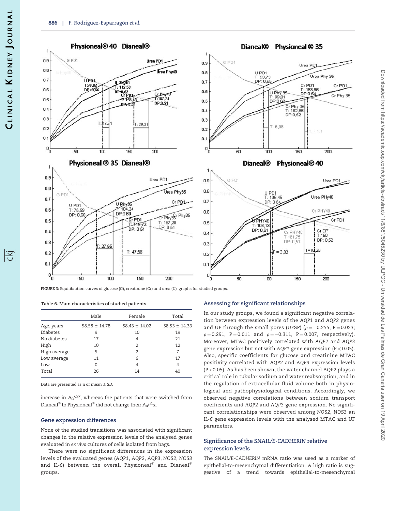#### <span id="page-5-0"></span>Physioneal<sup>®</sup> 40 Dianeal<sup>®</sup>  $0.9$ G PD1 Urea PD1  $0.8$ Urea Phy40  $0.7$ U PD1 U PHY40  $T:99,82$ DP: 0,66  $0.6$ DP:0,62<br>Cr PD1 Cr\_Bky4 1:187.74  $0<sup>5</sup>$  $-7.158.43$ **DP-0.51** DP-0  $0.4$  $0.3$  $T·112$ T: 29,31  $0.2$  $0.1$  $0_0$  $50$  $100$  $150$  $\overline{20}$ Physioneal ® 35 Dianeal®





Dianeal<sup>®</sup> Physioneal <sup>®</sup> 35

FIGURE 3: Equilibration curves of glucose (G), creatinine (Cr) and urea (U) graphs for studied groups.

|  |  |  |  | Table 6. Main characteristics of studied patients |  |  |  |  |
|--|--|--|--|---------------------------------------------------|--|--|--|--|
|--|--|--|--|---------------------------------------------------|--|--|--|--|

|                 | Male              | Female            | Total             |
|-----------------|-------------------|-------------------|-------------------|
| Age, years      | $58.58 \pm 14.78$ | $58.43 \pm 14.02$ | $58.53 \pm 14.33$ |
| <b>Diabetes</b> | 9                 | 10                | 19                |
| No diabetes     | 17                | 4                 | 21                |
| High            | 10                | 2                 | 12                |
| High average    | 5                 | 2                 | 7                 |
| Low average     | 11                | 6                 | 17                |
| Low             | 0                 | 4                 | 4                 |
| Total           | 26                | 14                | 40                |
|                 |                   |                   |                   |

Data are presented as n or mean  $\pm$  SD.

increase in  $A_0/\triangle^x$ , whereas the patients that were switched from Dianeal $^{\circledast}$  to Physioneal $^{\circledast}$  did not change their A $\rm \sigma^{\prime \vartriangle_{X.}}$ 

#### Gene expression differences

None of the studied transitions was associated with significant changes in the relative expression levels of the analysed genes evaluated in ex vivo cultures of cells isolated from bags.

There were no significant differences in the expression levels of the evaluated genes (AQP1, AQP2, AQP3, NOS2, NOS3 and IL-6) between the overall Physioneal $^\circ$  and Dianeal $^\circ$ groups.

#### Assessing for significant relationships

50

 $0.2$ 

 $0.1$ 

 $\Box$ 

'n

In our study groups, we found a significant negative correlation between expression levels of the AQP1 and AQP2 genes and UF through the small pores (UFSP) ( $\rho = -0.255$ , P = 0.023;  $\rho = 0.291$ , P = 0.011 and  $\rho = -0.311$ , P = 0.007, respectively). Moreover, MTAC positively correlated with AQP2 and AQP3 gene expression but not with AQP1 gene expression (P < 0.05). Also, specific coefficients for glucose and creatinine MTAC positivity correlated with AQP2 and AQP3 expression levels (P <0.05). As has been shown, the water channel AQP2 plays a critical role in tubular sodium and water reabsorption, and in the regulation of extracellular fluid volume both in physiological and pathophysiological conditions. Accordingly, we observed negative correlations between sodium transport coefficients and AQP2 and AQP3 gene expression. No significant correlationships were observed among NOS2, NOS3 an IL-6 gene expression levels with the analysed MTAC and UF parameters.

 $= 3.32$ 

100

150

 $T = 18,25$ 

 $200$ 

#### Significance of the SNAIL/E-CADHERIN relative expression levels

The SNAIL/E-CADHERIN mRNA ratio was used as a marker of epithelial-to-mesenchymal differentiation. A high ratio is suggestive of a trend towards epithelial-to-mesenchymal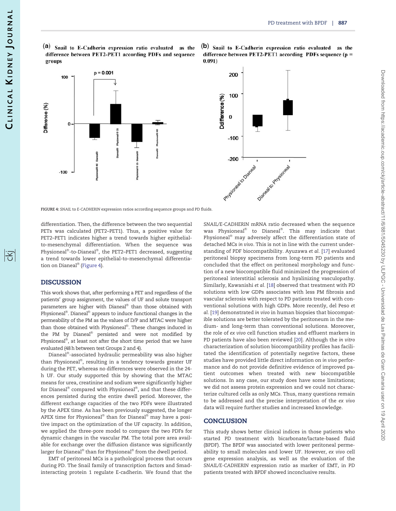<span id="page-6-0"></span>(a) Snail to E-Cadherin expression ratio evaluated as the difference between PET2-PET1 according PDFs and sequence groups

(b) Snail to E-Cadherin expression ratio evaluated as the difference between PET2-PET1 according PDFs sequence ( $p =$  $0.091)$ 





FIGURE 4: SNAIL to E-CADHERIN expression ratios according sequence groups and PD fluids.

differentiation. Then, the difference between the two sequential PETs was calculated (PET2–PET1). Thus, a positive value for PET2–PET1 indicates higher a trend towards higher epithelialto-mesenchymal differentiation. When the sequence was Physioneal®-to-Dianeal®, the PET2–PET1 decreased, suggesting a trend towards lower epithelial-to-mesenchymal differentiation on Dianeal® (Figure 4).

#### **DISCUSSION**

This work shows that, after performing a PET and regardless of the patients' group assignment, the values of UF and solute transport parameters are higher with Dianeal $^{\circledast}$  than those obtained with Physioneal $^\circledast$ . Dianeal $^\circledast$  appears to induce functional changes in the permeability of the PM as the values of D/P and MTAC were higher than those obtained with Physioneal®. These changes induced in the PM by Dianeal® persisted and were not modified by Physioneal $^\circ$ , at least not after the short time period that we have evaluated (48 h between test Groups 2 and 4).

Dianeal $^{\circledast}$ -associated hydraulic permeability was also higher than Physioneal®, resulting in a tendency towards greater UF during the PET, whereas no differences were observed in the 24 h UF. Our study supported this by showing that the MTAC means for urea, creatinine and sodium were significantly higher for Dianeal $^\circ$  compared with Physioneal $^\circ$ , and that these differences persisted during the entire dwell period. Moreover, the different exchange capacities of the two PDFs were illustrated by the APEX time. As has been previously suggested, the longer APEX time for Physioneal $^\circledast$  than for Dianeal $^\circledast$  may have a positive impact on the optimization of the UF capacity. In addition, we applied the three-pore model to compare the two PDFs for dynamic changes in the vascular PM. The total pore area available for exchange over the diffusion distance was significantly larger for Dianeal $^\circledast$  than for Physioneal $^\circledast$  from the dwell period.

EMT of peritoneal MCs is a pathological process that occurs during PD. The Snail family of transcription factors and Smadinteracting protein 1 regulate E-cadherin. We found that the SNAIL/E-CADHERIN mRNA ratio decreased when the sequence was Physioneal $^\circ$  to Dianeal $^\circ$ . This may indicate that Physioneal® may adversely affect the differentiation state of detached MCs in vivo. This is not in line with the current understanding of PDF biocompatibility. Ayuzawa et al. [[17\]](#page-7-0) evaluated peritoneal biopsy specimens from long-term PD patients and concluded that the effect on peritoneal morphology and function of a new biocompatible fluid minimized the progression of peritoneal interstitial sclerosis and hyalinizing vasculopathy. Similarly, Kawanishi et al. [\[18](#page-7-0)] observed that treatment with PD solutions with low GDPs associates with less PM fibrosis and vascular sclerosis with respect to PD patients treated with conventional solutions with high GDPs. More recently, del Peso et al. [[19](#page-7-0)] demonstrated in vivo in human biopsies that biocompatible solutions are better tolerated by the peritoneum in the medium- and long-term than conventional solutions. Moreover, the role of ex vivo cell function studies and effluent markers in PD patients have also been reviewed [\[20\]](#page-7-0). Although the in vitro characterization of solution biocompatibility profiles has facilitated the identification of potentially negative factors, these studies have provided little direct information on in vivo performance and do not provide definitive evidence of improved patient outcomes when treated with new biocompatible solutions. In any case, our study does have some limitations; we did not assess protein expression and we could not characterize cultured cells as only MCs. Thus, many questions remain to be addressed and the precise interpretation of the ex vivo data will require further studies and increased knowledge.

#### **CONCLUSION**

This study shows better clinical indices in those patients who started PD treatment with bicarbonate/lactate-based fluid (BPDF). The BPDF was associated with lower peritoneal permeability to small molecules and lower UF. However, ex vivo cell gene expression analysis, as well as the evaluation of the SNAIL/E-CADHERIN expression ratio as marker of EMT, in PD patients treated with BPDF showed inconclusive results.